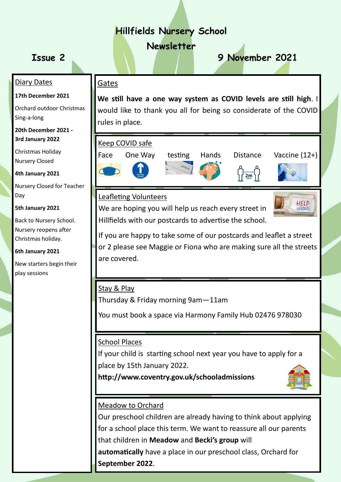# **Hillfields Nursery School**

# **Newsletter**

# **Issue 2 9 November 2021**

## Gates

**We still have a one way system as COVID levels are still high**. I would like to thank you all for being so considerate of the COVID rules in place.

# Keep COVID safe







## Leafleting Volunteers

We are hoping you will help us reach every street in Hillfields with our postcards to advertise the school.



If you are happy to take some of our postcards and leaflet a street or 2 please see Maggie or Fiona who are making sure all the streets are covered.

## Stay & Play

Thursday & Friday morning 9am—11am

You must book a space via Harmony Family Hub 02476 978030

# School Places

If your child is starting school next year you have to apply for a place by 15th January 2022.

**http://www.coventry.gov.uk/schooladmissions** 



# Meadow to Orchard

Our preschool children are already having to think about applying for a school place this term. We want to reassure all our parents

that children in **Meadow** and **Becki's group** will

**automatically** have a place in our preschool class, Orchard for **September 2022**.

# Diary Dates

#### **17th December 2021**

Orchard outdoor Christmas Sing-a-long

**20th December 2021 - 3rd January 2022**

Christmas Holiday Nursery Closed

**4th January 2021**

Nursery Closed for Teacher Day

#### **5th January 2021**

Back to Nursery School. Nursery reopens after Christmas holiday.

**6th January 2021**

New starters begin their play sessions